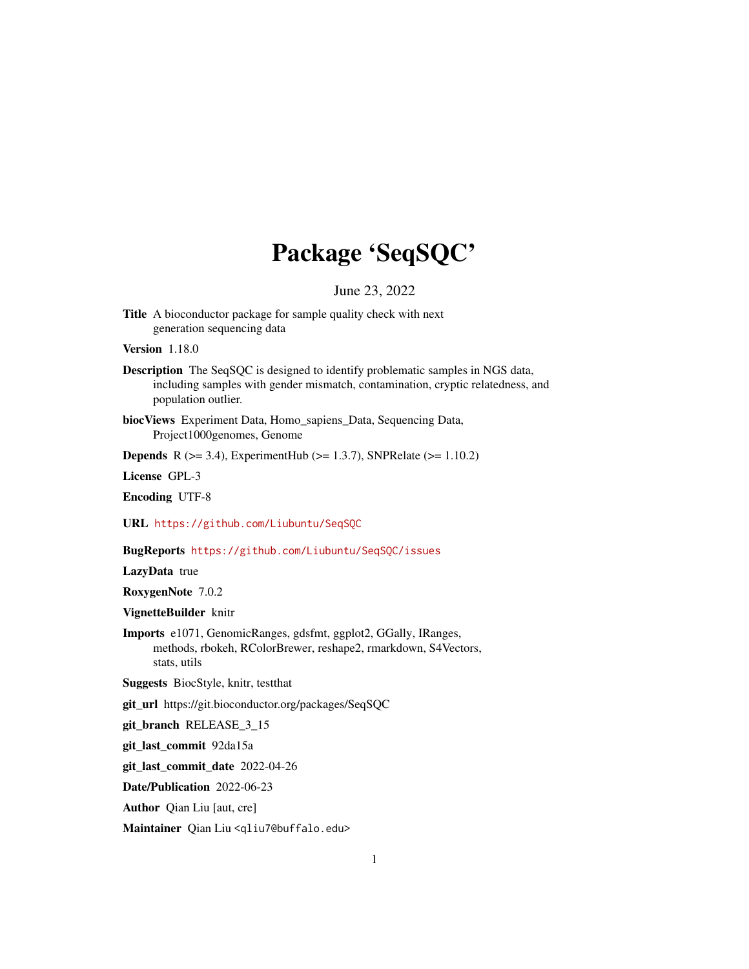# Package 'SeqSQC'

June 23, 2022

Title A bioconductor package for sample quality check with next generation sequencing data

Version 1.18.0

Description The SeqSQC is designed to identify problematic samples in NGS data, including samples with gender mismatch, contamination, cryptic relatedness, and population outlier.

biocViews Experiment Data, Homo\_sapiens\_Data, Sequencing Data, Project1000genomes, Genome

**Depends** R ( $>= 3.4$ ), ExperimentHub ( $>= 1.3.7$ ), SNPRelate ( $>= 1.10.2$ )

License GPL-3

Encoding UTF-8

URL <https://github.com/Liubuntu/SeqSQC>

BugReports <https://github.com/Liubuntu/SeqSQC/issues>

LazyData true

RoxygenNote 7.0.2

VignetteBuilder knitr

Imports e1071, GenomicRanges, gdsfmt, ggplot2, GGally, IRanges, methods, rbokeh, RColorBrewer, reshape2, rmarkdown, S4Vectors, stats, utils

Suggests BiocStyle, knitr, testthat

git\_url https://git.bioconductor.org/packages/SeqSQC

git\_branch RELEASE\_3\_15

git\_last\_commit 92da15a

git\_last\_commit\_date 2022-04-26

Date/Publication 2022-06-23

Author Qian Liu [aut, cre]

Maintainer Qian Liu <qliu7@buffalo.edu>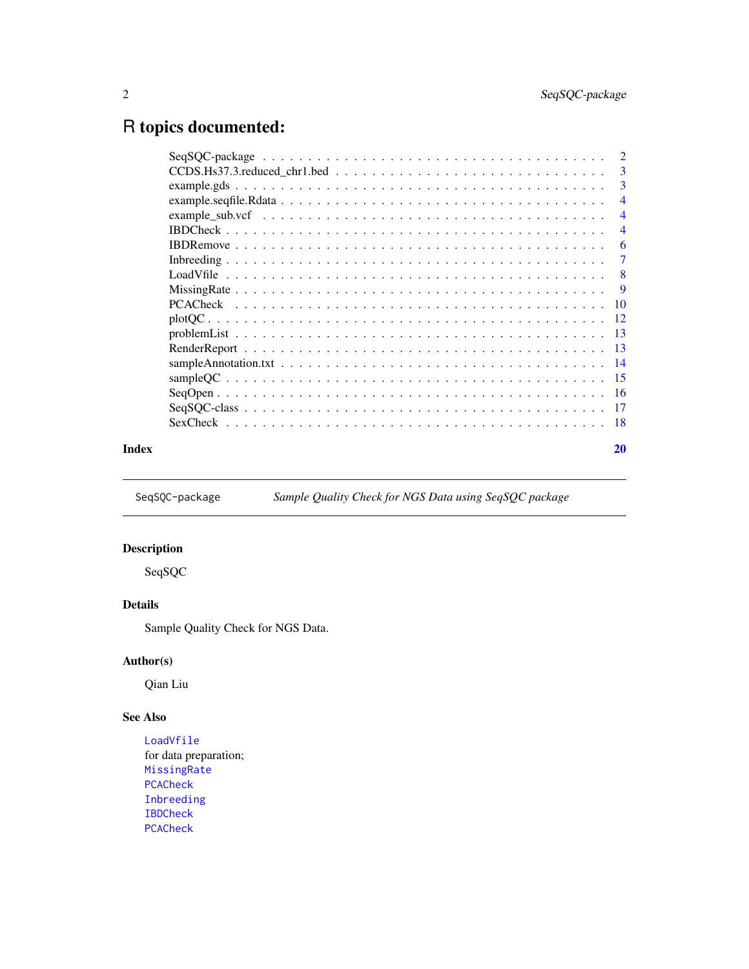# <span id="page-1-0"></span>R topics documented:

|       | $CCDS.Hs37.3. reduced_chr1. bed \ldots \ldots \ldots \ldots \ldots \ldots \ldots \ldots \ldots 3$ |                |
|-------|---------------------------------------------------------------------------------------------------|----------------|
|       |                                                                                                   |                |
|       |                                                                                                   | $\overline{4}$ |
|       |                                                                                                   | $\overline{4}$ |
|       |                                                                                                   | $\overline{4}$ |
|       |                                                                                                   | -6             |
|       |                                                                                                   |                |
|       |                                                                                                   | - 8            |
|       |                                                                                                   | -9             |
|       |                                                                                                   |                |
|       |                                                                                                   |                |
|       |                                                                                                   |                |
|       |                                                                                                   |                |
|       |                                                                                                   |                |
|       |                                                                                                   |                |
|       |                                                                                                   |                |
|       |                                                                                                   |                |
|       |                                                                                                   |                |
| Index |                                                                                                   | 20             |

SeqSQC-package *Sample Quality Check for NGS Data using SeqSQC package*

# Description

SeqSQC

# Details

Sample Quality Check for NGS Data.

# Author(s)

Qian Liu

# See Also

[LoadVfile](#page-7-1) for data preparation; [MissingRate](#page-8-1) [PCACheck](#page-9-1) [Inbreeding](#page-6-1) [IBDCheck](#page-3-1) [PCACheck](#page-9-1)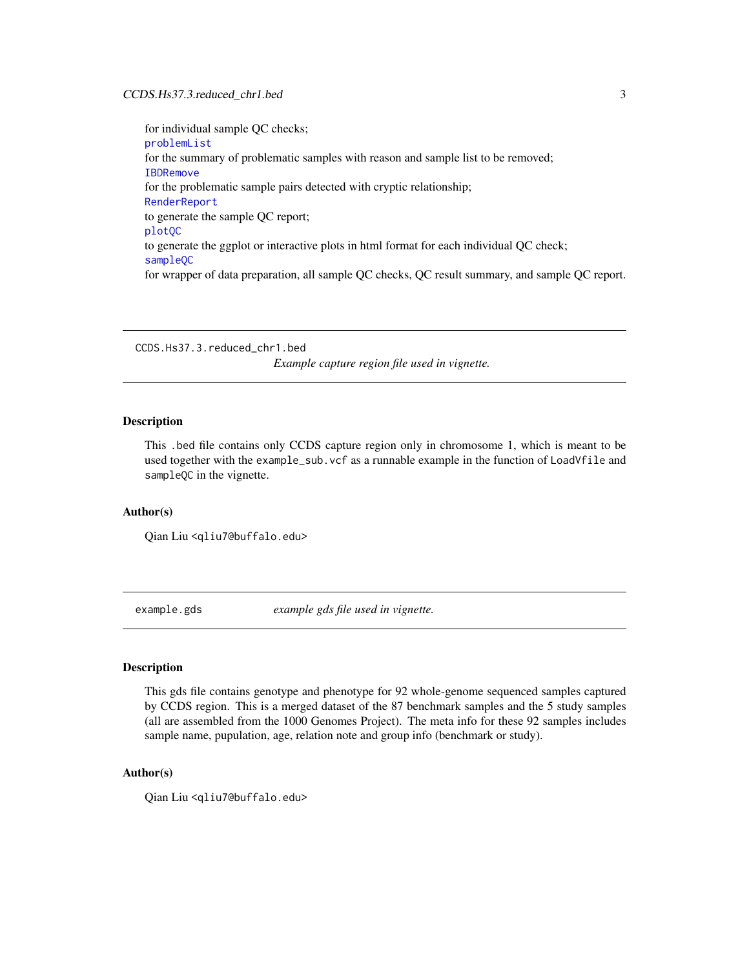# <span id="page-2-0"></span>CCDS.Hs37.3.reduced\_chr1.bed 3

for individual sample QC checks; [problemList](#page-12-1) for the summary of problematic samples with reason and sample list to be removed; [IBDRemove](#page-5-1) for the problematic sample pairs detected with cryptic relationship; [RenderReport](#page-12-2) to generate the sample QC report; [plotQC](#page-11-1) to generate the ggplot or interactive plots in html format for each individual QC check; [sampleQC](#page-14-1) for wrapper of data preparation, all sample QC checks, QC result summary, and sample QC report.

CCDS.Hs37.3.reduced\_chr1.bed

*Example capture region file used in vignette.*

# **Description**

This .bed file contains only CCDS capture region only in chromosome 1, which is meant to be used together with the example\_sub.vcf as a runnable example in the function of LoadVfile and sampleQC in the vignette.

# Author(s)

Qian Liu <qliu7@buffalo.edu>

example.gds *example gds file used in vignette.*

# **Description**

This gds file contains genotype and phenotype for 92 whole-genome sequenced samples captured by CCDS region. This is a merged dataset of the 87 benchmark samples and the 5 study samples (all are assembled from the 1000 Genomes Project). The meta info for these 92 samples includes sample name, pupulation, age, relation note and group info (benchmark or study).

# Author(s)

Qian Liu <qliu7@buffalo.edu>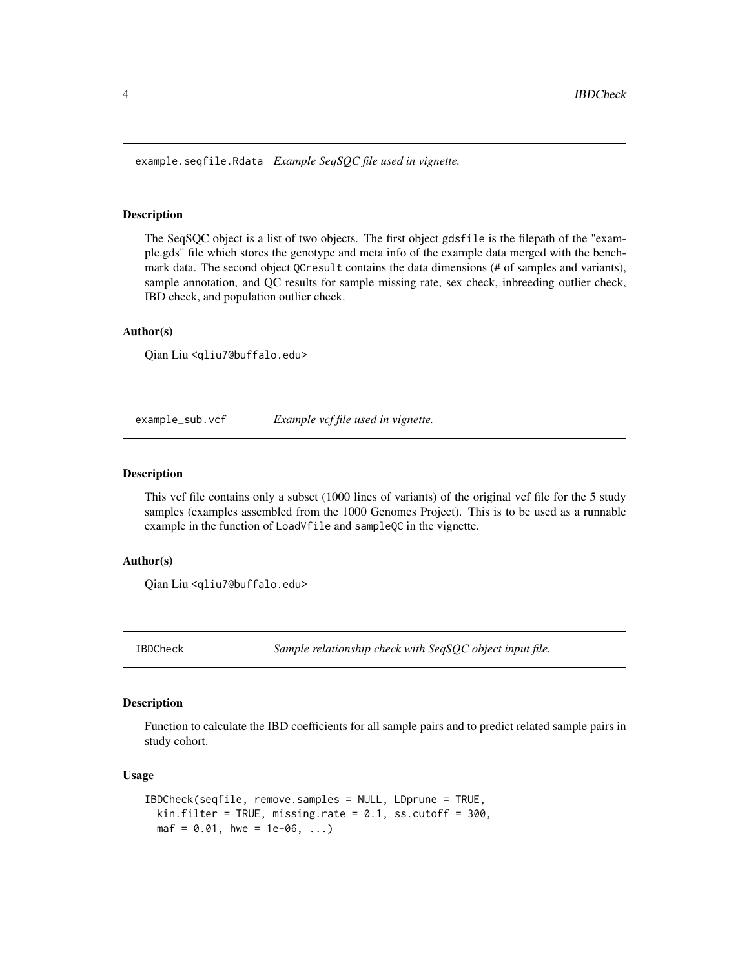<span id="page-3-0"></span>example.seqfile.Rdata *Example SeqSQC file used in vignette.*

# Description

The SeqSQC object is a list of two objects. The first object gdsfile is the filepath of the "example.gds" file which stores the genotype and meta info of the example data merged with the benchmark data. The second object QCresult contains the data dimensions (# of samples and variants), sample annotation, and QC results for sample missing rate, sex check, inbreeding outlier check, IBD check, and population outlier check.

# Author(s)

Qian Liu <qliu7@buffalo.edu>

example\_sub.vcf *Example vcf file used in vignette.*

# Description

This vcf file contains only a subset (1000 lines of variants) of the original vcf file for the 5 study samples (examples assembled from the 1000 Genomes Project). This is to be used as a runnable example in the function of LoadVfile and sampleQC in the vignette.

# Author(s)

Qian Liu <qliu7@buffalo.edu>

<span id="page-3-1"></span>IBDCheck *Sample relationship check with SeqSQC object input file.*

#### **Description**

Function to calculate the IBD coefficients for all sample pairs and to predict related sample pairs in study cohort.

```
IBDCheck(seqfile, remove.samples = NULL, LDprune = TRUE,
  kin.filter = TRUE, missing.rate = 0.1, ss.cutoff = 300,
  \text{maf} = 0.01, \text{ hwe} = 1e-06, \ldots
```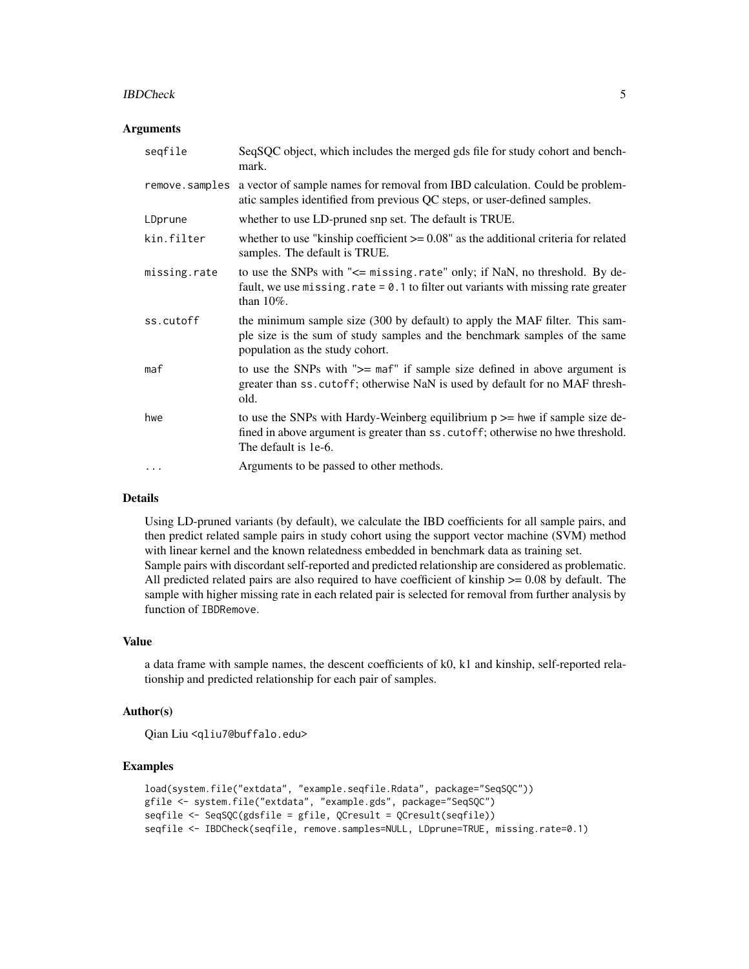#### IBDCheck 5

#### **Arguments**

| seqfile        | SeqSQC object, which includes the merged gds file for study cohort and bench-<br>mark.                                                                                                       |
|----------------|----------------------------------------------------------------------------------------------------------------------------------------------------------------------------------------------|
| remove.samples | a vector of sample names for removal from IBD calculation. Could be problem-<br>atic samples identified from previous QC steps, or user-defined samples.                                     |
| LDprune        | whether to use LD-pruned snp set. The default is TRUE.                                                                                                                                       |
| kin.filter     | whether to use "kinship coefficient $\ge$ = 0.08" as the additional criteria for related<br>samples. The default is TRUE.                                                                    |
| missing.rate   | to use the SNPs with "<= missing.rate" only; if NaN, no threshold. By de-<br>fault, we use missing. $rate = 0.1$ to filter out variants with missing rate greater<br>than $10\%$ .           |
| ss.cutoff      | the minimum sample size (300 by default) to apply the MAF filter. This sam-<br>ple size is the sum of study samples and the benchmark samples of the same<br>population as the study cohort. |
| maf            | to use the SNPs with ">= maf" if sample size defined in above argument is<br>greater than ss. cutoff; otherwise NaN is used by default for no MAF thresh-<br>old.                            |
| hwe            | to use the SNPs with Hardy-Weinberg equilibrium $p \ge -$ hwe if sample size de-<br>fined in above argument is greater than ss. cutoff; otherwise no hwe threshold.<br>The default is 1e-6.  |
| .              | Arguments to be passed to other methods.                                                                                                                                                     |

# Details

Using LD-pruned variants (by default), we calculate the IBD coefficients for all sample pairs, and then predict related sample pairs in study cohort using the support vector machine (SVM) method with linear kernel and the known relatedness embedded in benchmark data as training set. Sample pairs with discordant self-reported and predicted relationship are considered as problematic. All predicted related pairs are also required to have coefficient of kinship  $\geq$  0.08 by default. The sample with higher missing rate in each related pair is selected for removal from further analysis by function of IBDRemove.

# Value

a data frame with sample names, the descent coefficients of k0, k1 and kinship, self-reported relationship and predicted relationship for each pair of samples.

# Author(s)

Qian Liu <qliu7@buffalo.edu>

```
load(system.file("extdata", "example.seqfile.Rdata", package="SeqSQC"))
gfile <- system.file("extdata", "example.gds", package="SeqSQC")
seqfile <- SeqSQC(gdsfile = gfile, QCresult = QCresult(seqfile))
seqfile <- IBDCheck(seqfile, remove.samples=NULL, LDprune=TRUE, missing.rate=0.1)
```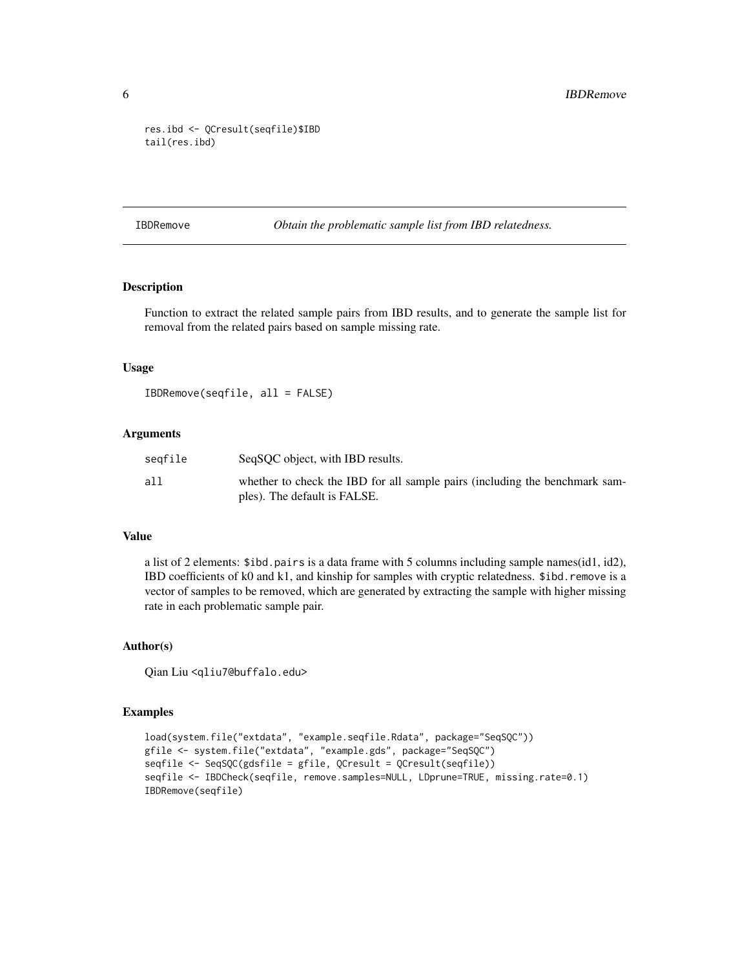```
res.ibd <- QCresult(seqfile)$IBD
tail(res.ibd)
```
<span id="page-5-1"></span>IBDRemove *Obtain the problematic sample list from IBD relatedness.*

# Description

Function to extract the related sample pairs from IBD results, and to generate the sample list for removal from the related pairs based on sample missing rate.

# Usage

IBDRemove(seqfile, all = FALSE)

# Arguments

| seqfile | SeqSQC object, with IBD results.                                                                            |
|---------|-------------------------------------------------------------------------------------------------------------|
| all     | whether to check the IBD for all sample pairs (including the benchmark sam-<br>ples). The default is FALSE. |

#### Value

a list of 2 elements: \$ibd.pairs is a data frame with 5 columns including sample names(id1, id2), IBD coefficients of k0 and k1, and kinship for samples with cryptic relatedness. \$ibd.remove is a vector of samples to be removed, which are generated by extracting the sample with higher missing rate in each problematic sample pair.

# Author(s)

Qian Liu <qliu7@buffalo.edu>

```
load(system.file("extdata", "example.seqfile.Rdata", package="SeqSQC"))
gfile <- system.file("extdata", "example.gds", package="SeqSQC")
seqfile <- SeqSQC(gdsfile = gfile, QCresult = QCresult(seqfile))
seqfile <- IBDCheck(seqfile, remove.samples=NULL, LDprune=TRUE, missing.rate=0.1)
IBDRemove(seqfile)
```
<span id="page-5-0"></span>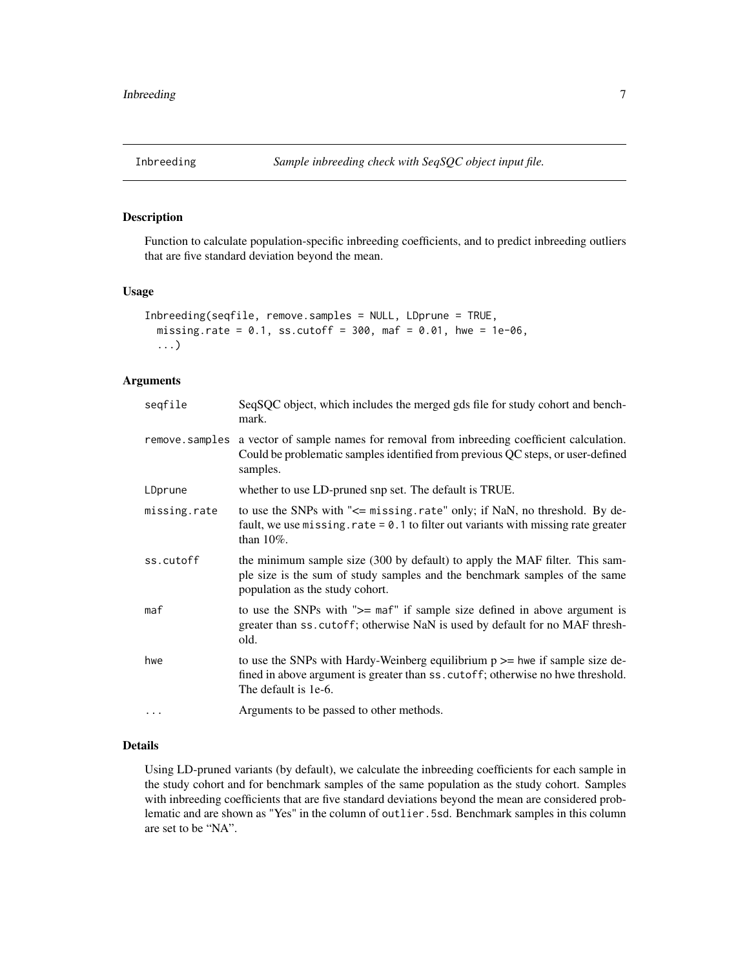<span id="page-6-1"></span><span id="page-6-0"></span>

Function to calculate population-specific inbreeding coefficients, and to predict inbreeding outliers that are five standard deviation beyond the mean.

#### Usage

```
Inbreeding(seqfile, remove.samples = NULL, LDprune = TRUE,
 missing.rate = 0.1, ss.cutoff = 300, maf = 0.01, hwe = 1e-06,
  ...)
```
# Arguments

| seqfile      | SeqSQC object, which includes the merged gds file for study cohort and bench-<br>mark.                                                                                                       |
|--------------|----------------------------------------------------------------------------------------------------------------------------------------------------------------------------------------------|
|              | remove samples a vector of sample names for removal from inbreeding coefficient calculation.<br>Could be problematic samples identified from previous QC steps, or user-defined<br>samples.  |
| LDprune      | whether to use LD-pruned snp set. The default is TRUE.                                                                                                                                       |
| missing.rate | to use the SNPs with "<= missing.rate" only; if NaN, no threshold. By de-<br>fault, we use missing. rate $= 0.1$ to filter out variants with missing rate greater<br>than $10\%$ .           |
| ss.cutoff    | the minimum sample size (300 by default) to apply the MAF filter. This sam-<br>ple size is the sum of study samples and the benchmark samples of the same<br>population as the study cohort. |
| maf          | to use the SNPs with ">= maf" if sample size defined in above argument is<br>greater than ss. cutoff; otherwise NaN is used by default for no MAF thresh-<br>old.                            |
| hwe          | to use the SNPs with Hardy-Weinberg equilibrium $p \geq p$ hwe if sample size de-<br>fined in above argument is greater than ss. cutoff; otherwise no hwe threshold.<br>The default is 1e-6. |
| $\cdots$     | Arguments to be passed to other methods.                                                                                                                                                     |

# Details

Using LD-pruned variants (by default), we calculate the inbreeding coefficients for each sample in the study cohort and for benchmark samples of the same population as the study cohort. Samples with inbreeding coefficients that are five standard deviations beyond the mean are considered problematic and are shown as "Yes" in the column of outlier.5sd. Benchmark samples in this column are set to be "NA".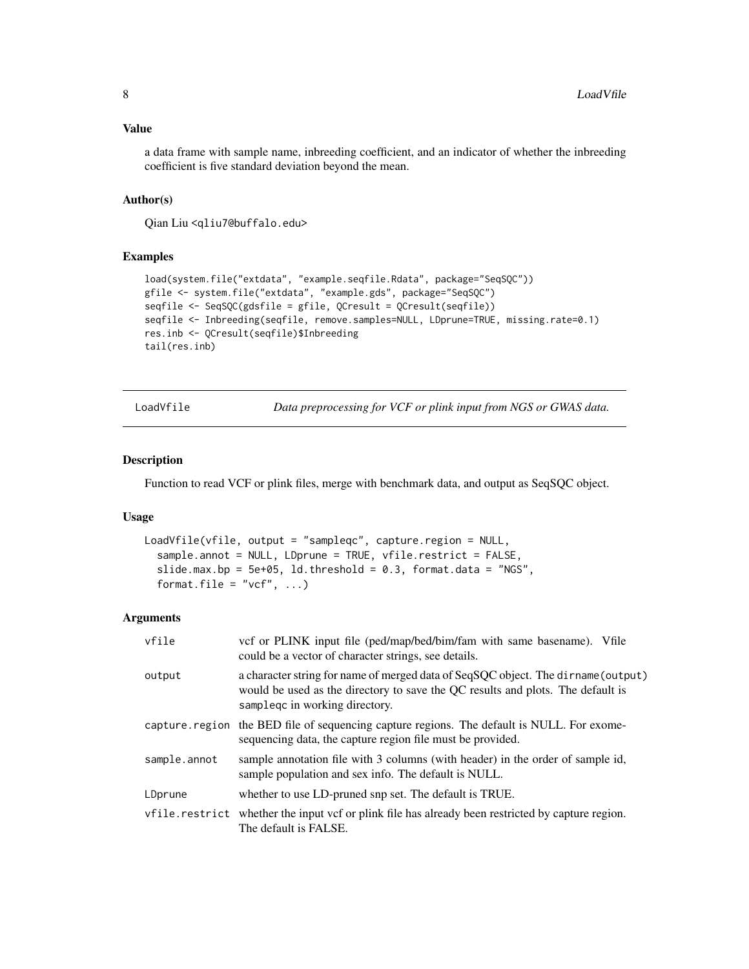# <span id="page-7-0"></span>Value

a data frame with sample name, inbreeding coefficient, and an indicator of whether the inbreeding coefficient is five standard deviation beyond the mean.

# Author(s)

Qian Liu <qliu7@buffalo.edu>

# Examples

```
load(system.file("extdata", "example.seqfile.Rdata", package="SeqSQC"))
gfile <- system.file("extdata", "example.gds", package="SeqSQC")
seqfile <- SeqSQC(gdsfile = gfile, QCresult = QCresult(seqfile))
seqfile <- Inbreeding(seqfile, remove.samples=NULL, LDprune=TRUE, missing.rate=0.1)
res.inb <- QCresult(seqfile)$Inbreeding
tail(res.inb)
```
<span id="page-7-1"></span>LoadVfile *Data preprocessing for VCF or plink input from NGS or GWAS data.*

#### Description

Function to read VCF or plink files, merge with benchmark data, and output as SeqSQC object.

# Usage

```
LoadVfile(vfile, output = "sampleqc", capture.region = NULL,
  sample.annot = NULL, LDprune = TRUE, vfile.restrict = FALSE,
  slide.max.bp = 5e+05, ld.threshold = 0.3, format.data = "NGS",
  format.file = "vcf", ...)
```
# Arguments

| vfile          | vcf or PLINK input file (ped/map/bed/bim/fam with same basename). Vfile<br>could be a vector of character strings, see details.                                                                        |
|----------------|--------------------------------------------------------------------------------------------------------------------------------------------------------------------------------------------------------|
| output         | a character string for name of merged data of SeqSQC object. The dirname (output)<br>would be used as the directory to save the QC results and plots. The default is<br>samplege in working directory. |
|                | capture region the BED file of sequencing capture regions. The default is NULL. For exome-<br>sequencing data, the capture region file must be provided.                                               |
| sample.annot   | sample annotation file with 3 columns (with header) in the order of sample id,<br>sample population and sex info. The default is NULL.                                                                 |
| LDprune        | whether to use LD-pruned snp set. The default is TRUE.                                                                                                                                                 |
| vfile.restrict | whether the input vcf or plink file has already been restricted by capture region.<br>The default is FALSE.                                                                                            |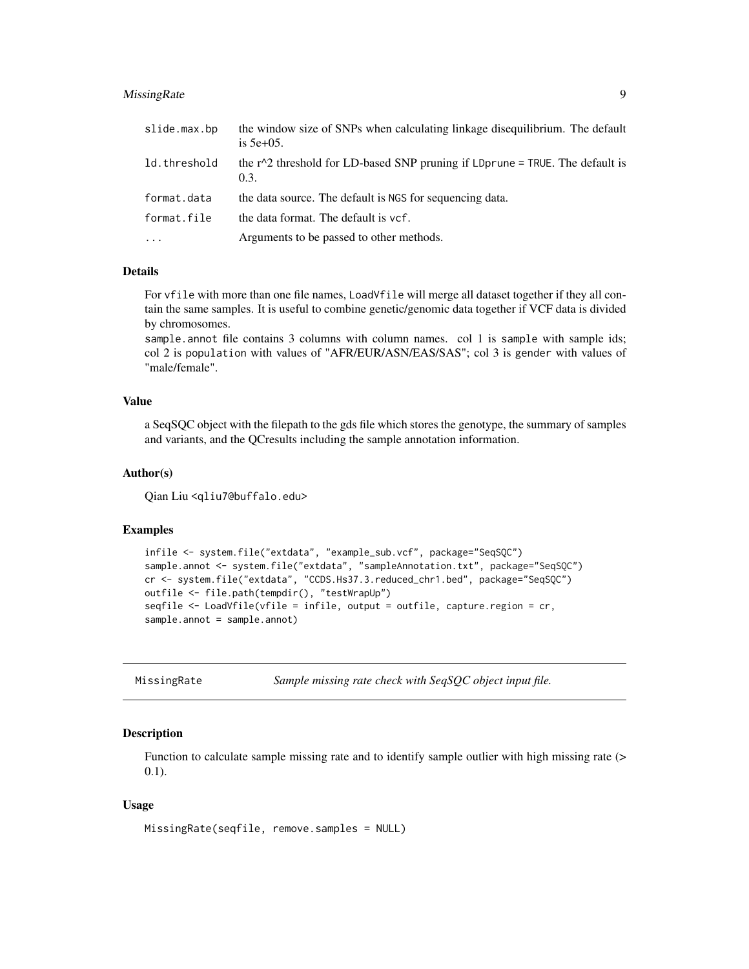# <span id="page-8-0"></span>MissingRate 9

| slide.max.bp | the window size of SNPs when calculating linkage disequilibrium. The default<br>is $5e+05$ . |
|--------------|----------------------------------------------------------------------------------------------|
| ld.threshold | the $r^2$ threshold for LD-based SNP pruning if LDprune = TRUE. The default is<br>0.3.       |
| format.data  | the data source. The default is NGS for sequencing data.                                     |
| format.file  | the data format. The default is ycf.                                                         |
| $\cdots$     | Arguments to be passed to other methods.                                                     |

#### Details

For vfile with more than one file names, LoadVfile will merge all dataset together if they all contain the same samples. It is useful to combine genetic/genomic data together if VCF data is divided by chromosomes.

sample.annot file contains 3 columns with column names. col 1 is sample with sample ids; col 2 is population with values of "AFR/EUR/ASN/EAS/SAS"; col 3 is gender with values of "male/female".

# Value

a SeqSQC object with the filepath to the gds file which stores the genotype, the summary of samples and variants, and the QCresults including the sample annotation information.

#### Author(s)

Qian Liu <qliu7@buffalo.edu>

# Examples

```
infile <- system.file("extdata", "example_sub.vcf", package="SeqSQC")
sample.annot <- system.file("extdata", "sampleAnnotation.txt", package="SeqSQC")
cr <- system.file("extdata", "CCDS.Hs37.3.reduced_chr1.bed", package="SeqSQC")
outfile <- file.path(tempdir(), "testWrapUp")
seqfile <- LoadVfile(vfile = infile, output = outfile, capture.region = cr,
sample.annot = sample.annot)
```
<span id="page-8-1"></span>MissingRate *Sample missing rate check with SeqSQC object input file.*

# Description

Function to calculate sample missing rate and to identify sample outlier with high missing rate (> 0.1).

```
MissingRate(seqfile, remove.samples = NULL)
```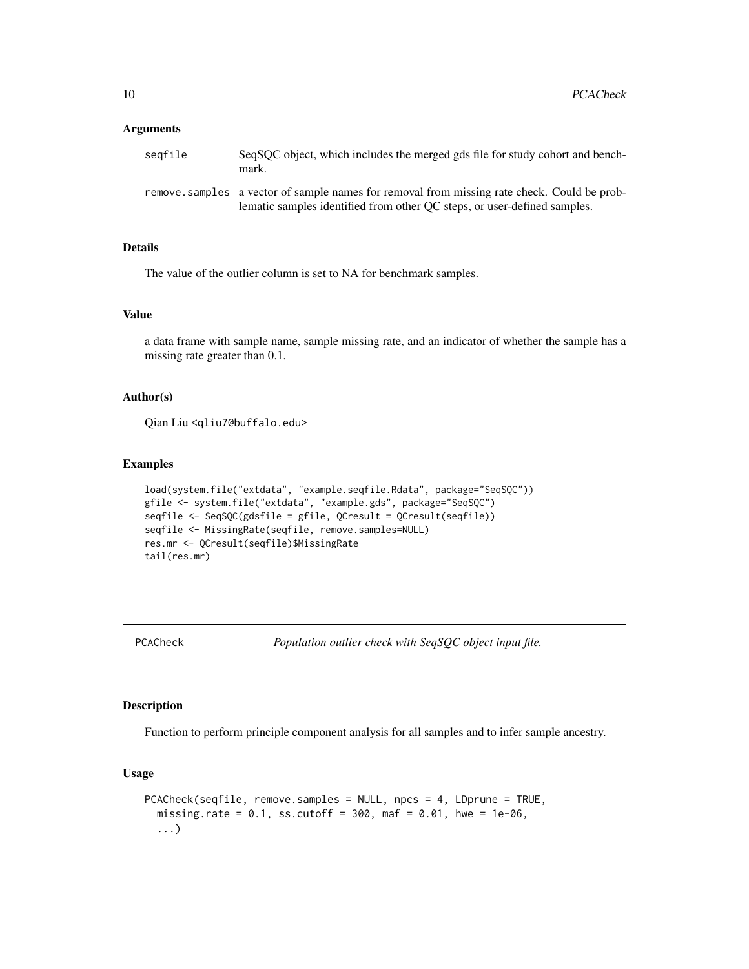#### <span id="page-9-0"></span>**Arguments**

| seafile | SeqSOC object, which includes the merged gds file for study cohort and bench-<br>mark.                                                                                   |
|---------|--------------------------------------------------------------------------------------------------------------------------------------------------------------------------|
|         | remove, samples a vector of sample names for removal from missing rate check. Could be prob-<br>lematic samples identified from other OC steps, or user-defined samples. |

# Details

The value of the outlier column is set to NA for benchmark samples.

# Value

a data frame with sample name, sample missing rate, and an indicator of whether the sample has a missing rate greater than 0.1.

# Author(s)

Qian Liu <qliu7@buffalo.edu>

# Examples

```
load(system.file("extdata", "example.seqfile.Rdata", package="SeqSQC"))
gfile <- system.file("extdata", "example.gds", package="SeqSQC")
seqfile <- SeqSQC(gdsfile = gfile, QCresult = QCresult(seqfile))
seqfile <- MissingRate(seqfile, remove.samples=NULL)
res.mr <- QCresult(seqfile)$MissingRate
tail(res.mr)
```
<span id="page-9-1"></span>PCACheck *Population outlier check with SeqSQC object input file.*

# Description

Function to perform principle component analysis for all samples and to infer sample ancestry.

```
PCACheck(seqfile, remove.samples = NULL, npcs = 4, LDprune = TRUE,
  missing.rate = 0.1, ss.cutoff = 300, maf = 0.01, hwe = 1e-06,
  ...)
```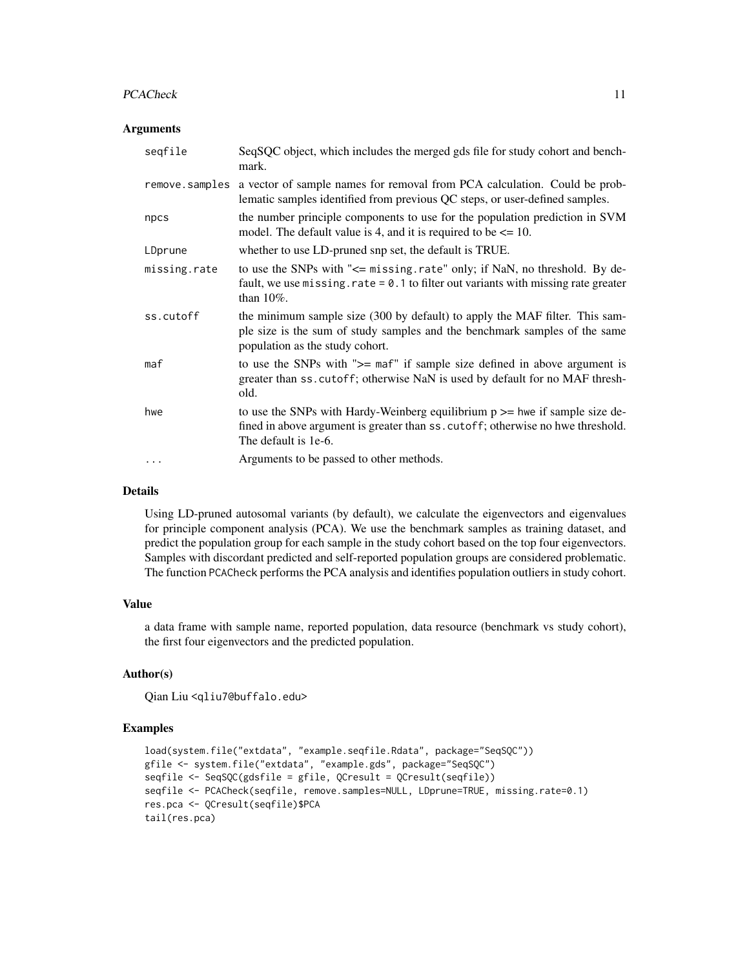#### PCACheck 11

### **Arguments**

| seqfile        | SeqSQC object, which includes the merged gds file for study cohort and bench-<br>mark.                                                                                                       |
|----------------|----------------------------------------------------------------------------------------------------------------------------------------------------------------------------------------------|
| remove.samples | a vector of sample names for removal from PCA calculation. Could be prob-<br>lematic samples identified from previous QC steps, or user-defined samples.                                     |
| npcs           | the number principle components to use for the population prediction in SVM<br>model. The default value is 4, and it is required to be $\leq 10$ .                                           |
| LDprune        | whether to use LD-pruned snp set, the default is TRUE.                                                                                                                                       |
| missing.rate   | to use the SNPs with "<= missing.rate" only; if NaN, no threshold. By de-<br>fault, we use missing. $rate = 0.1$ to filter out variants with missing rate greater<br>than $10\%$ .           |
| ss.cutoff      | the minimum sample size (300 by default) to apply the MAF filter. This sam-<br>ple size is the sum of study samples and the benchmark samples of the same<br>population as the study cohort. |
| maf            | to use the SNPs with ">= maf" if sample size defined in above argument is<br>greater than ss. cutoff; otherwise NaN is used by default for no MAF thresh-<br>old.                            |
| hwe            | to use the SNPs with Hardy-Weinberg equilibrium $p \ge$ hwe if sample size de-<br>fined in above argument is greater than ss. cutoff; otherwise no hwe threshold.<br>The default is 1e-6.    |
| $\cdots$       | Arguments to be passed to other methods.                                                                                                                                                     |

# Details

Using LD-pruned autosomal variants (by default), we calculate the eigenvectors and eigenvalues for principle component analysis (PCA). We use the benchmark samples as training dataset, and predict the population group for each sample in the study cohort based on the top four eigenvectors. Samples with discordant predicted and self-reported population groups are considered problematic. The function PCACheck performs the PCA analysis and identifies population outliers in study cohort.

# Value

a data frame with sample name, reported population, data resource (benchmark vs study cohort), the first four eigenvectors and the predicted population.

# Author(s)

Qian Liu <qliu7@buffalo.edu>

```
load(system.file("extdata", "example.seqfile.Rdata", package="SeqSQC"))
gfile <- system.file("extdata", "example.gds", package="SeqSQC")
seqfile <- SeqSQC(gdsfile = gfile, QCresult = QCresult(seqfile))
seqfile <- PCACheck(seqfile, remove.samples=NULL, LDprune=TRUE, missing.rate=0.1)
res.pca <- QCresult(seqfile)$PCA
tail(res.pca)
```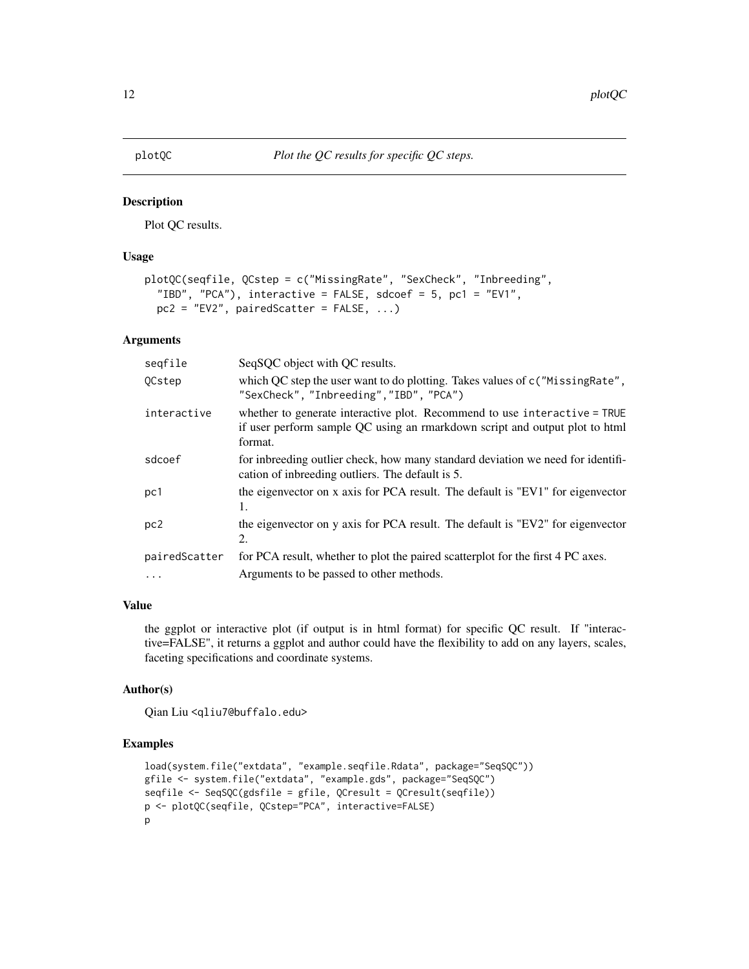<span id="page-11-1"></span><span id="page-11-0"></span>

Plot QC results.

# Usage

```
plotQC(seqfile, QCstep = c("MissingRate", "SexCheck", "Inbreeding",
  "IBD", "PCA"), interactive = FALSE, sdcoef = 5, pc1 = "EV1",
 pc2 = "EV2", pairedScatter = FALSE, ...)
```
# Arguments

| seqfile       | SeqSQC object with QC results.                                                                                                                                      |
|---------------|---------------------------------------------------------------------------------------------------------------------------------------------------------------------|
| QCstep        | which QC step the user want to do plotting. Takes values of c("MissingRate",<br>"SexCheck", "Inbreeding", "IBD", "PCA")                                             |
| interactive   | whether to generate interactive plot. Recommend to use interactive = TRUE<br>if user perform sample QC using an rmarkdown script and output plot to html<br>format. |
| sdcoef        | for inbreeding outlier check, how many standard deviation we need for identifi-<br>cation of inbreeding outliers. The default is 5.                                 |
| pc1           | the eigenvector on x axis for PCA result. The default is "EV1" for eigenvector<br>1.                                                                                |
| pc2           | the eigenvector on y axis for PCA result. The default is "EV2" for eigenvector<br>2.                                                                                |
| pairedScatter | for PCA result, whether to plot the paired scatterplot for the first 4 PC axes.                                                                                     |
| $\cdots$      | Arguments to be passed to other methods.                                                                                                                            |

# Value

the ggplot or interactive plot (if output is in html format) for specific QC result. If "interactive=FALSE", it returns a ggplot and author could have the flexibility to add on any layers, scales, faceting specifications and coordinate systems.

#### Author(s)

Qian Liu <qliu7@buffalo.edu>

```
load(system.file("extdata", "example.seqfile.Rdata", package="SeqSQC"))
gfile <- system.file("extdata", "example.gds", package="SeqSQC")
seqfile <- SeqSQC(gdsfile = gfile, QCresult = QCresult(seqfile))
p <- plotQC(seqfile, QCstep="PCA", interactive=FALSE)
p
```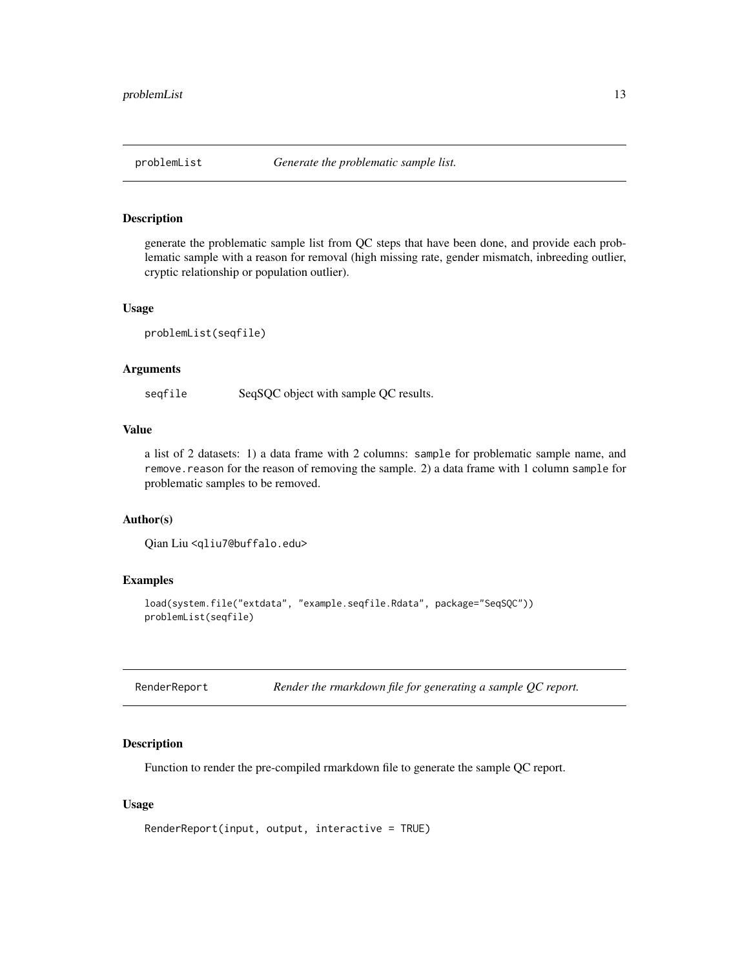<span id="page-12-1"></span><span id="page-12-0"></span>

generate the problematic sample list from QC steps that have been done, and provide each problematic sample with a reason for removal (high missing rate, gender mismatch, inbreeding outlier, cryptic relationship or population outlier).

#### Usage

problemList(seqfile)

# Arguments

seqfile SeqSQC object with sample QC results.

# Value

a list of 2 datasets: 1) a data frame with 2 columns: sample for problematic sample name, and remove.reason for the reason of removing the sample. 2) a data frame with 1 column sample for problematic samples to be removed.

# Author(s)

Qian Liu <qliu7@buffalo.edu>

# Examples

```
load(system.file("extdata", "example.seqfile.Rdata", package="SeqSQC"))
problemList(seqfile)
```
<span id="page-12-2"></span>

| RenderReport |  | Render the rmarkdown file for generating a sample $QC$ report. |  |  |  |  |
|--------------|--|----------------------------------------------------------------|--|--|--|--|
|--------------|--|----------------------------------------------------------------|--|--|--|--|

#### Description

Function to render the pre-compiled rmarkdown file to generate the sample QC report.

```
RenderReport(input, output, interactive = TRUE)
```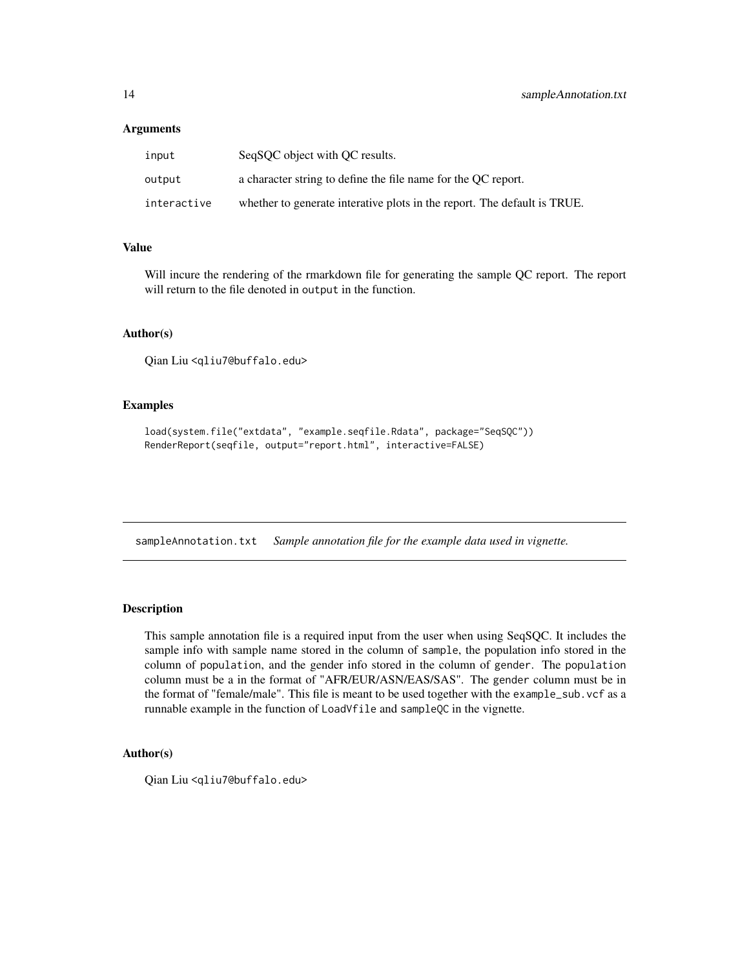# <span id="page-13-0"></span>**Arguments**

| input       | SeqSOC object with OC results.                                           |
|-------------|--------------------------------------------------------------------------|
| output      | a character string to define the file name for the OC report.            |
| interactive | whether to generate interative plots in the report. The default is TRUE. |

# Value

Will incure the rendering of the rmarkdown file for generating the sample QC report. The report will return to the file denoted in output in the function.

# Author(s)

Qian Liu <qliu7@buffalo.edu>

# Examples

```
load(system.file("extdata", "example.seqfile.Rdata", package="SeqSQC"))
RenderReport(seqfile, output="report.html", interactive=FALSE)
```
sampleAnnotation.txt *Sample annotation file for the example data used in vignette.*

#### Description

This sample annotation file is a required input from the user when using SeqSQC. It includes the sample info with sample name stored in the column of sample, the population info stored in the column of population, and the gender info stored in the column of gender. The population column must be a in the format of "AFR/EUR/ASN/EAS/SAS". The gender column must be in the format of "female/male". This file is meant to be used together with the example\_sub.vcf as a runnable example in the function of LoadVfile and sampleQC in the vignette.

# Author(s)

Qian Liu <qliu7@buffalo.edu>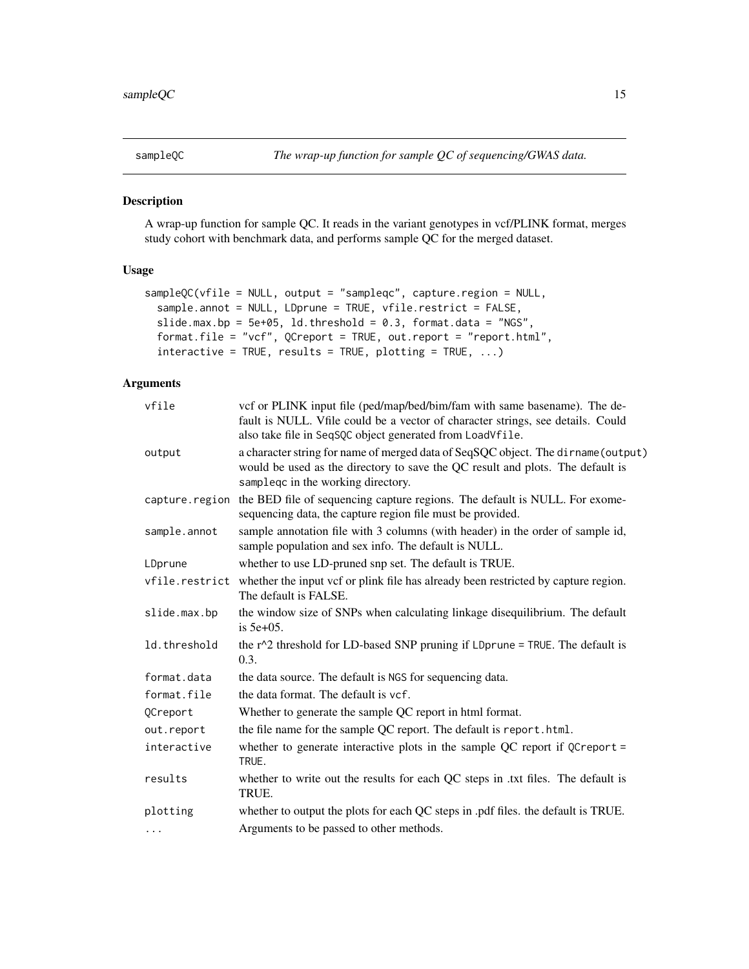<span id="page-14-1"></span><span id="page-14-0"></span>

A wrap-up function for sample QC. It reads in the variant genotypes in vcf/PLINK format, merges study cohort with benchmark data, and performs sample QC for the merged dataset.

# Usage

```
sampleQC(vfile = NULL, output = "sampleqc", capture.region = NULL,
 sample.annot = NULL, LDprune = TRUE, vfile.restrict = FALSE,
 slide.max.bp = 5e+05, ld.threshold = 0.3, format.data = "NGS",
  format.file = "vcf", QCreport = TRUE, out.report = "report.html",
  interactive = TRUE, results = TRUE, plotting = TRUE, ...)
```
# Arguments

| vfile          | vcf or PLINK input file (ped/map/bed/bim/fam with same basename). The de-<br>fault is NULL. Vfile could be a vector of character strings, see details. Could<br>also take file in SeqSQC object generated from LoadVfile. |
|----------------|---------------------------------------------------------------------------------------------------------------------------------------------------------------------------------------------------------------------------|
| output         | a character string for name of merged data of SeqSQC object. The dirname (output)<br>would be used as the directory to save the QC result and plots. The default is<br>sampleqc in the working directory.                 |
| capture.region | the BED file of sequencing capture regions. The default is NULL. For exome-<br>sequencing data, the capture region file must be provided.                                                                                 |
| sample.annot   | sample annotation file with 3 columns (with header) in the order of sample id,<br>sample population and sex info. The default is NULL.                                                                                    |
| LDprune        | whether to use LD-pruned snp set. The default is TRUE.                                                                                                                                                                    |
|                | vfile.restrict whether the input vcf or plink file has already been restricted by capture region.<br>The default is FALSE.                                                                                                |
| slide.max.bp   | the window size of SNPs when calculating linkage disequilibrium. The default<br>is $5e+05$ .                                                                                                                              |
| ld.threshold   | the $r^2$ threshold for LD-based SNP pruning if LDprune = TRUE. The default is<br>0.3.                                                                                                                                    |
| format.data    | the data source. The default is NGS for sequencing data.                                                                                                                                                                  |
| format.file    | the data format. The default is ycf.                                                                                                                                                                                      |
| QCreport       | Whether to generate the sample QC report in html format.                                                                                                                                                                  |
| out.report     | the file name for the sample QC report. The default is report.html.                                                                                                                                                       |
| interactive    | whether to generate interactive plots in the sample QC report if QCreport =<br>TRUE.                                                                                                                                      |
| results        | whether to write out the results for each QC steps in .txt files. The default is<br>TRUE.                                                                                                                                 |
| plotting       | whether to output the plots for each QC steps in .pdf files. the default is TRUE.                                                                                                                                         |
| $\cdots$       | Arguments to be passed to other methods.                                                                                                                                                                                  |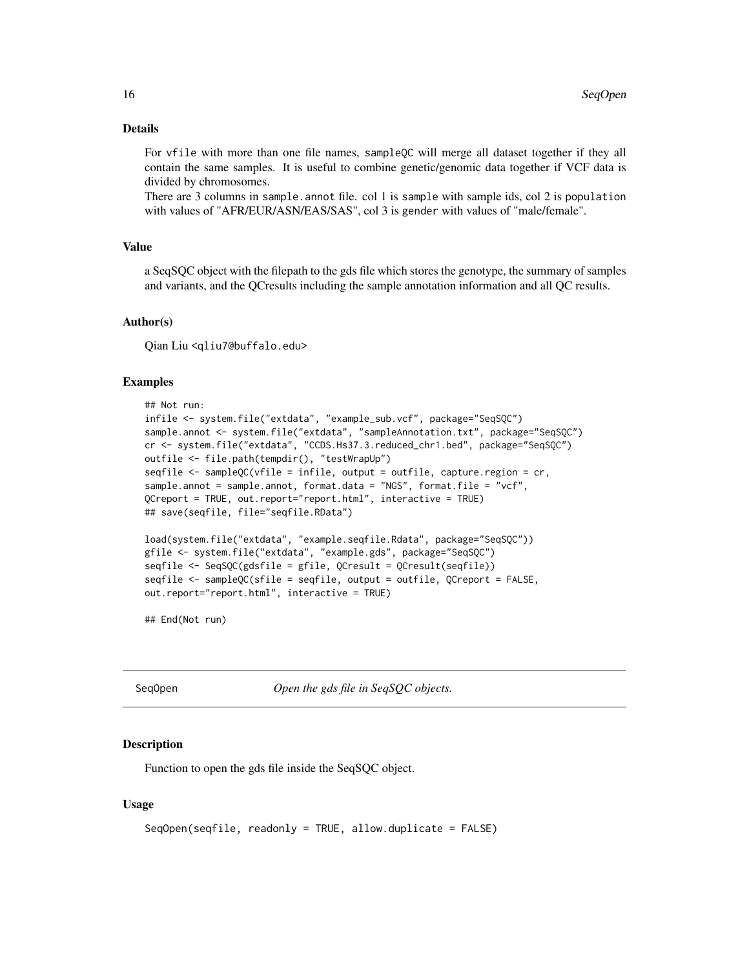# <span id="page-15-0"></span>Details

For vfile with more than one file names, sampleQC will merge all dataset together if they all contain the same samples. It is useful to combine genetic/genomic data together if VCF data is divided by chromosomes.

There are 3 columns in sample.annot file. col 1 is sample with sample ids, col 2 is population with values of "AFR/EUR/ASN/EAS/SAS", col 3 is gender with values of "male/female".

# Value

a SeqSQC object with the filepath to the gds file which stores the genotype, the summary of samples and variants, and the QCresults including the sample annotation information and all QC results.

# Author(s)

Qian Liu <qliu7@buffalo.edu>

#### Examples

```
## Not run:
infile <- system.file("extdata", "example_sub.vcf", package="SeqSQC")
sample.annot <- system.file("extdata", "sampleAnnotation.txt", package="SeqSQC")
cr <- system.file("extdata", "CCDS.Hs37.3.reduced_chr1.bed", package="SeqSQC")
outfile <- file.path(tempdir(), "testWrapUp")
seqfile <- sampleQC(vfile = infile, output = outfile, capture.region = cr,
sample.annot = sample.annot, format.data = "NGS", format.file = "vcf",
QCreport = TRUE, out.report="report.html", interactive = TRUE)
## save(seqfile, file="seqfile.RData")
load(system.file("extdata", "example.seqfile.Rdata", package="SeqSQC"))
gfile <- system.file("extdata", "example.gds", package="SeqSQC")
seqfile <- SeqSQC(gdsfile = gfile, QCresult = QCresult(seqfile))
seqfile <- sampleQC(sfile = seqfile, output = outfile, QCreport = FALSE,
out.report="report.html", interactive = TRUE)
```
## End(Not run)

SeqOpen *Open the gds file in SeqSQC objects.*

# **Description**

Function to open the gds file inside the SeqSQC object.

```
SeqOpen(seqfile, readonly = TRUE, allow.duplicate = FALSE)
```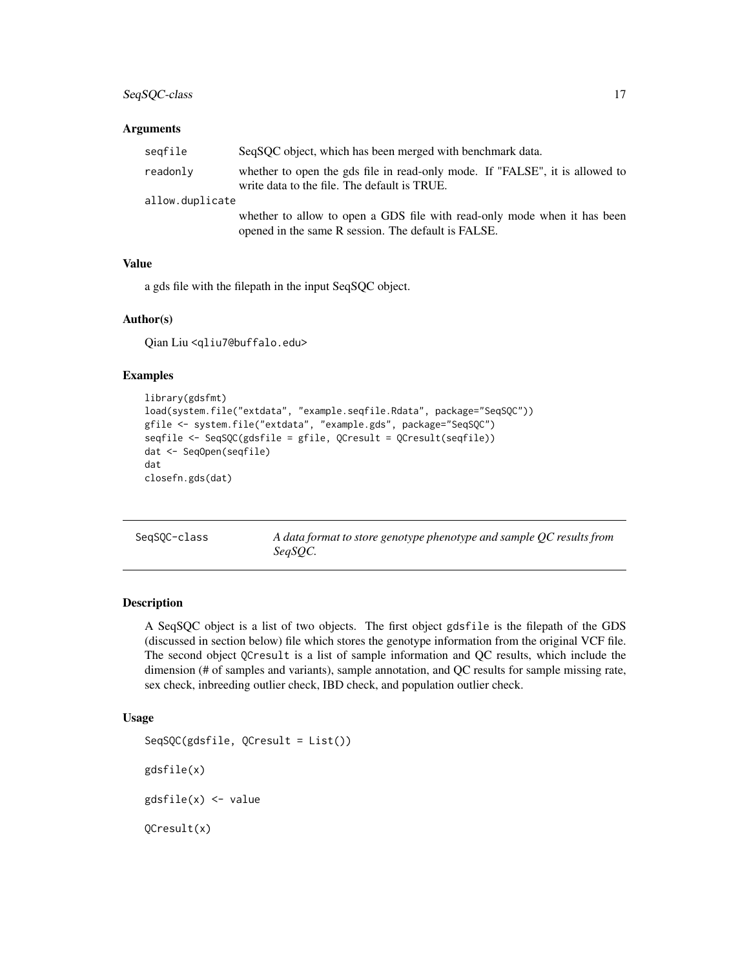# <span id="page-16-0"></span>SeqSQC-class 17

### **Arguments**

| seqfile         | SeqSOC object, which has been merged with benchmark data.                                                                       |  |
|-----------------|---------------------------------------------------------------------------------------------------------------------------------|--|
| readonly        | whether to open the gds file in read-only mode. If "FALSE", it is allowed to<br>write data to the file. The default is TRUE.    |  |
| allow.duplicate |                                                                                                                                 |  |
|                 | whether to allow to open a GDS file with read-only mode when it has been<br>opened in the same R session. The default is FALSE. |  |

# Value

a gds file with the filepath in the input SeqSQC object.

# Author(s)

Qian Liu <qliu7@buffalo.edu>

# Examples

```
library(gdsfmt)
load(system.file("extdata", "example.seqfile.Rdata", package="SeqSQC"))
gfile <- system.file("extdata", "example.gds", package="SeqSQC")
seqfile <- SeqSQC(gdsfile = gfile, QCresult = QCresult(seqfile))
dat <- SeqOpen(seqfile)
dat
closefn.gds(dat)
```
SeqSQC-class *A data format to store genotype phenotype and sample QC results from SeqSQC.*

#### Description

A SeqSQC object is a list of two objects. The first object gdsfile is the filepath of the GDS (discussed in section below) file which stores the genotype information from the original VCF file. The second object QCresult is a list of sample information and QC results, which include the dimension (# of samples and variants), sample annotation, and QC results for sample missing rate, sex check, inbreeding outlier check, IBD check, and population outlier check.

```
SeqSQC(gdsfile, QCresult = List())
gdsfile(x)
gdsfile(x) <- value
QCresult(x)
```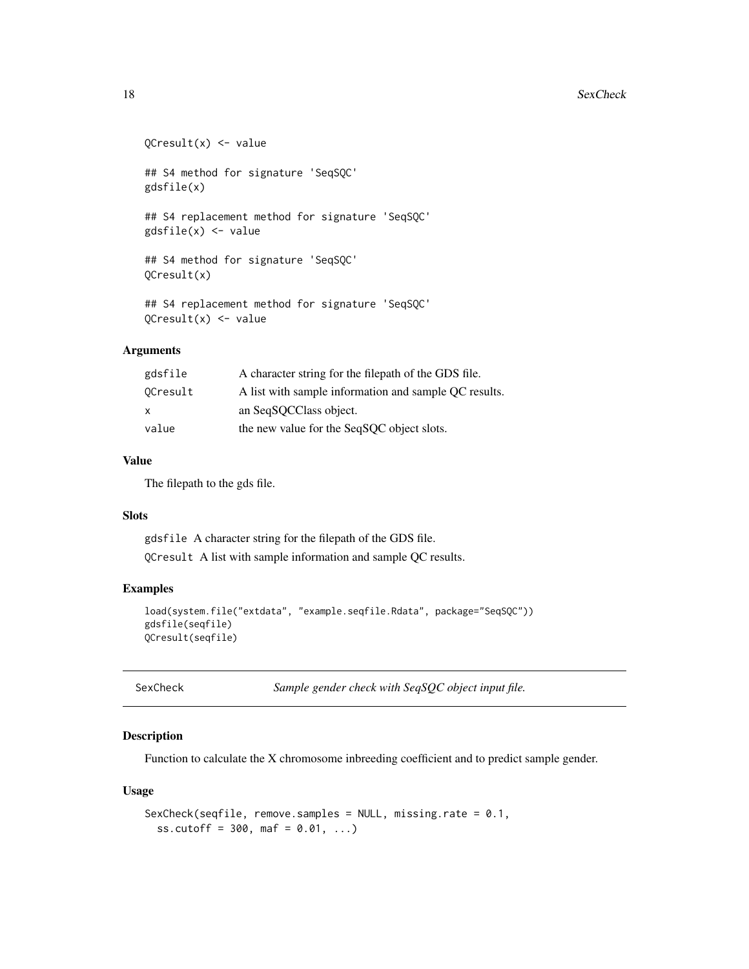#### <span id="page-17-0"></span>18 SexCheck

```
QCresult(x) <- value
## S4 method for signature 'SeqSQC'
gdsfile(x)
## S4 replacement method for signature 'SeqSQC'
gdsfile(x) <- value
## S4 method for signature 'SeqSQC'
QCresult(x)
## S4 replacement method for signature 'SeqSQC'
QCresult(x) <- value
```
# Arguments

| gdsfile  | A character string for the filepath of the GDS file.  |
|----------|-------------------------------------------------------|
| OCresult | A list with sample information and sample OC results. |
| X        | an SeqSQCClass object.                                |
| value    | the new value for the SeqSQC object slots.            |

# Value

The filepath to the gds file.

# Slots

gdsfile A character string for the filepath of the GDS file. QCresult A list with sample information and sample QC results.

#### Examples

```
load(system.file("extdata", "example.seqfile.Rdata", package="SeqSQC"))
gdsfile(seqfile)
QCresult(seqfile)
```
SexCheck *Sample gender check with SeqSQC object input file.*

#### Description

Function to calculate the X chromosome inbreeding coefficient and to predict sample gender.

```
SexCheck(seqfile, remove.samples = NULL, missing.rate = 0.1,
  ss.cutoff = 300, maf = 0.01, ...)
```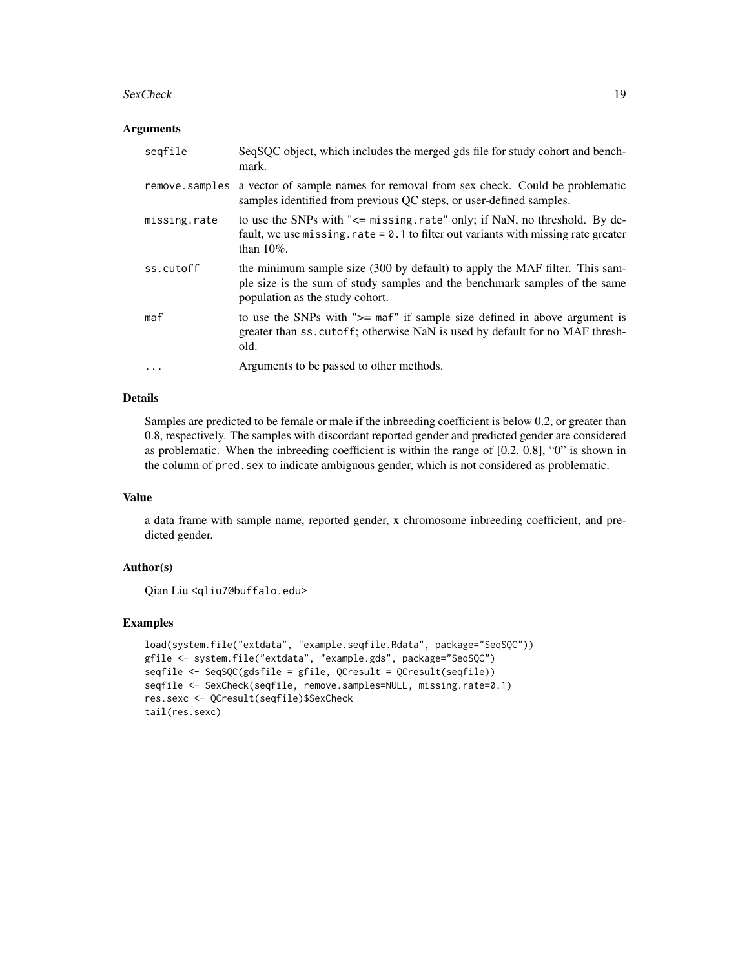#### SexCheck 19

### **Arguments**

| seqfile        | SeqSQC object, which includes the merged gds file for study cohort and bench-<br>mark.                                                                                                       |
|----------------|----------------------------------------------------------------------------------------------------------------------------------------------------------------------------------------------|
| remove.samples | a vector of sample names for removal from sex check. Could be problematic<br>samples identified from previous QC steps, or user-defined samples.                                             |
| missing.rate   | to use the SNPs with "<= missing.rate" only; if NaN, no threshold. By de-<br>fault, we use missing. rate $= 0.1$ to filter out variants with missing rate greater<br>than $10\%$ .           |
| ss.cutoff      | the minimum sample size (300 by default) to apply the MAF filter. This sam-<br>ple size is the sum of study samples and the benchmark samples of the same<br>population as the study cohort. |
| maf            | to use the SNPs with " $>=$ maf" if sample size defined in above argument is<br>greater than ss. cutoff; otherwise NaN is used by default for no MAF thresh-<br>old.                         |
| $\ddotsc$      | Arguments to be passed to other methods.                                                                                                                                                     |

# Details

Samples are predicted to be female or male if the inbreeding coefficient is below 0.2, or greater than 0.8, respectively. The samples with discordant reported gender and predicted gender are considered as problematic. When the inbreeding coefficient is within the range of [0.2, 0.8], "0" is shown in the column of pred.sex to indicate ambiguous gender, which is not considered as problematic.

# Value

a data frame with sample name, reported gender, x chromosome inbreeding coefficient, and predicted gender.

#### Author(s)

Qian Liu <qliu7@buffalo.edu>

```
load(system.file("extdata", "example.seqfile.Rdata", package="SeqSQC"))
gfile <- system.file("extdata", "example.gds", package="SeqSQC")
seqfile <- SeqSQC(gdsfile = gfile, QCresult = QCresult(seqfile))
seqfile <- SexCheck(seqfile, remove.samples=NULL, missing.rate=0.1)
res.sexc <- QCresult(seqfile)$SexCheck
tail(res.sexc)
```